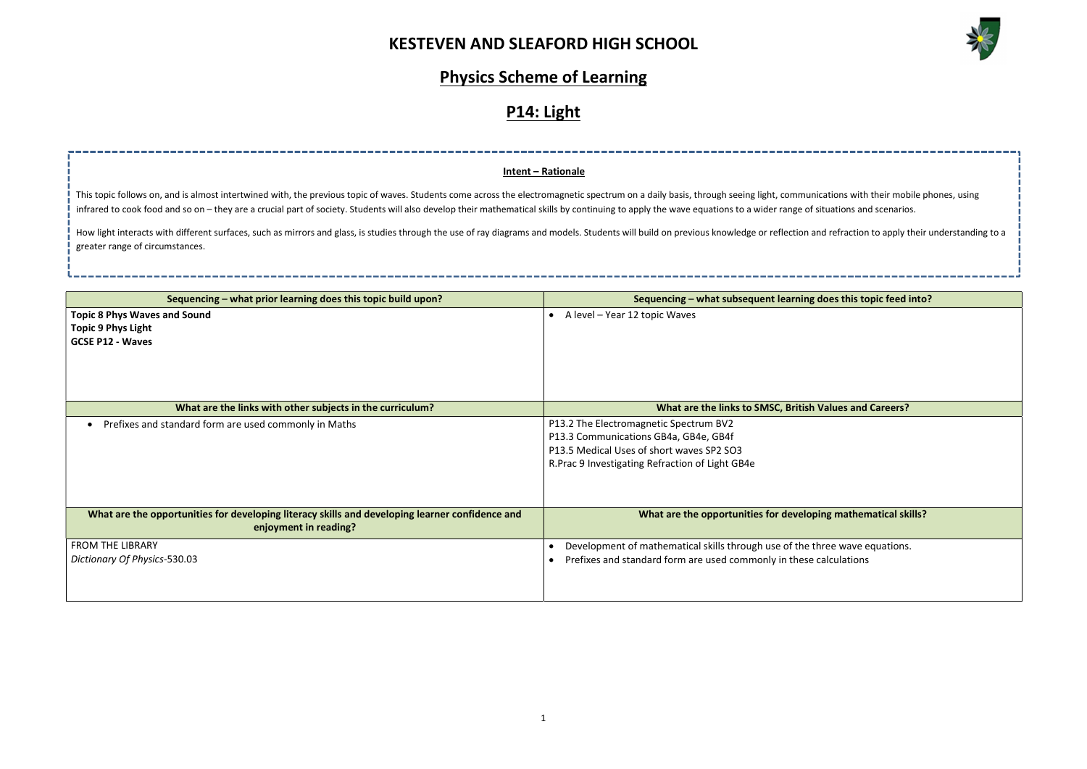

| ations with their mobile phones, using         |
|------------------------------------------------|
| tuations and scenarios.                        |
| d refraction to apply their understanding to a |
|                                                |
|                                                |
|                                                |
| oes this topic feed into?                      |
|                                                |
|                                                |
|                                                |
|                                                |
|                                                |
|                                                |
| alues and Careers?                             |
|                                                |
|                                                |
|                                                |
|                                                |
|                                                |
| ng mathematical skills?                        |
|                                                |
| ree wave equations.                            |
| alculations                                    |
|                                                |
|                                                |

## Physics Scheme of Learning

## P14: Light

| Sequencing – what prior learning does this topic build upon?                                                             | Sequencing – what subsequent learning does this topic feed into?                                                                                                                 |
|--------------------------------------------------------------------------------------------------------------------------|----------------------------------------------------------------------------------------------------------------------------------------------------------------------------------|
| <b>Topic 8 Phys Waves and Sound</b><br><b>Topic 9 Phys Light</b><br><b>GCSE P12 - Waves</b>                              | • A level - Year 12 topic Waves                                                                                                                                                  |
| What are the links with other subjects in the curriculum?                                                                | What are the links to SMSC, British Values and Careers?                                                                                                                          |
| Prefixes and standard form are used commonly in Maths                                                                    | P13.2 The Electromagnetic Spectrum BV2<br>P13.3 Communications GB4a, GB4e, GB4f<br>P13.5 Medical Uses of short waves SP2 SO3<br>R. Prac 9 Investigating Refraction of Light GB4e |
| What are the opportunities for developing literacy skills and developing learner confidence and<br>enjoyment in reading? | What are the opportunities for developing mathematical skills?                                                                                                                   |
| <b>FROM THE LIBRARY</b><br>Dictionary Of Physics-530.03                                                                  | Development of mathematical skills through use of the three wave equations.<br>$\bullet$<br>Prefixes and standard form are used commonly in these calculations<br>$\bullet$      |

How light interacts with different surfaces, such as mirrors and glass, is studies through the use of ray diagrams and models. Students will build on previous knowledge or reflection and greater range of circumstances.

#### Intent – Rationale

This topic follows on, and is almost intertwined with, the previous topic of waves. Students come across the electromagnetic spectrum on a daily basis, through seeing light, communications with their phones, using their mo infrared to cook food and so on - they are a crucial part of society. Students will also develop their mathematical skills by continuing to apply the wave equations to a wider range of sit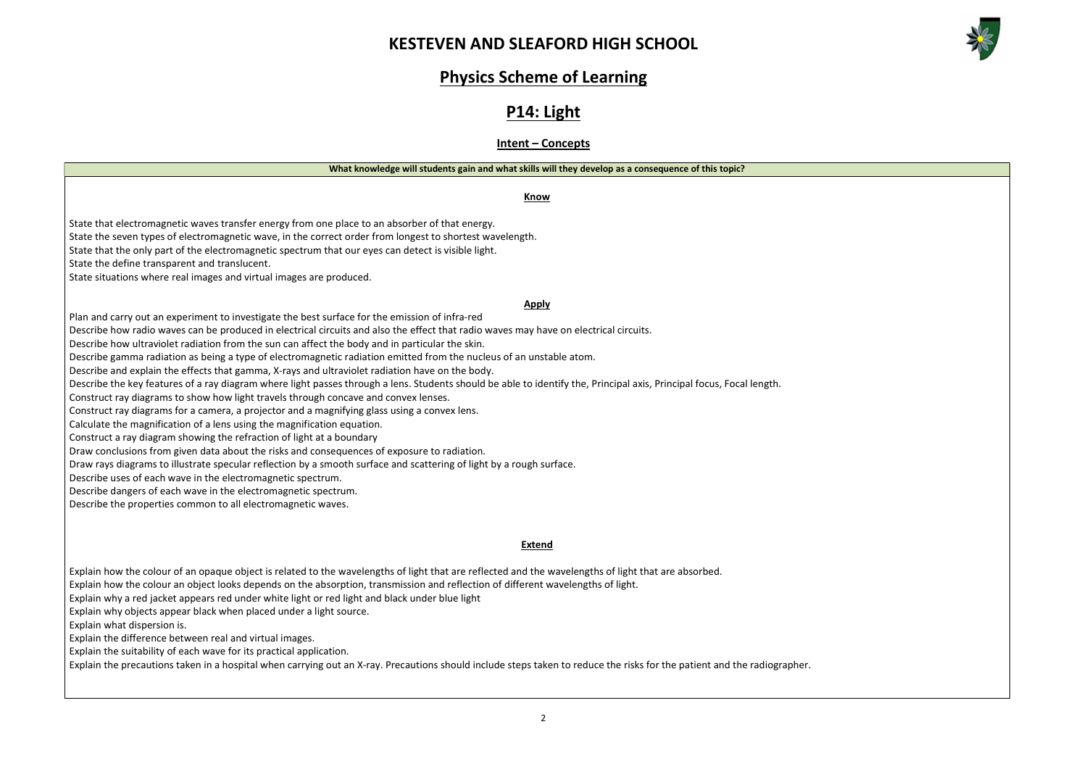



# Physics Scheme of Learning

## P14: Light

#### Intent – Concepts

| concept                                                                                                                                                                                                                                                                                                                                                                                                                                                          |
|------------------------------------------------------------------------------------------------------------------------------------------------------------------------------------------------------------------------------------------------------------------------------------------------------------------------------------------------------------------------------------------------------------------------------------------------------------------|
| What knowledge will students gain and what skills will they develop as a consequence of this topic?                                                                                                                                                                                                                                                                                                                                                              |
| <b>Know</b>                                                                                                                                                                                                                                                                                                                                                                                                                                                      |
| State that electromagnetic waves transfer energy from one place to an absorber of that energy.<br>State the seven types of electromagnetic wave, in the correct order from longest to shortest wavelength.<br>State that the only part of the electromagnetic spectrum that our eyes can detect is visible light.<br>State the define transparent and translucent.<br>State situations where real images and virtual images are produced.                        |
| <b>Apply</b><br>Plan and carry out an experiment to investigate the best surface for the emission of infra-red<br>Describe how radio waves can be produced in electrical circuits and also the effect that radio waves may have on electrical circuits.                                                                                                                                                                                                          |
| Describe how ultraviolet radiation from the sun can affect the body and in particular the skin.<br>Describe gamma radiation as being a type of electromagnetic radiation emitted from the nucleus of an unstable atom.<br>Describe and explain the effects that gamma, X-rays and ultraviolet radiation have on the body.                                                                                                                                        |
| Describe the key features of a ray diagram where light passes through a lens. Students should be able to identify the, Principal axis, Principal focus, Focal length.<br>Construct ray diagrams to show how light travels through concave and convex lenses.<br>Construct ray diagrams for a camera, a projector and a magnifying glass using a convex lens.<br>Calculate the magnification of a lens using the magnification equation.                          |
| Construct a ray diagram showing the refraction of light at a boundary<br>Draw conclusions from given data about the risks and consequences of exposure to radiation.<br>Draw rays diagrams to illustrate specular reflection by a smooth surface and scattering of light by a rough surface.                                                                                                                                                                     |
| Describe uses of each wave in the electromagnetic spectrum.<br>Describe dangers of each wave in the electromagnetic spectrum.<br>Describe the properties common to all electromagnetic waves.                                                                                                                                                                                                                                                                    |
| <b>Extend</b>                                                                                                                                                                                                                                                                                                                                                                                                                                                    |
| Explain how the colour of an opaque object is related to the wavelengths of light that are reflected and the wavelengths of light that are absorbed.<br>Explain how the colour an object looks depends on the absorption, transmission and reflection of different wavelengths of light.<br>Explain why a red jacket appears red under white light or red light and black under blue light<br>Explain why objects appear black when placed under a light source. |
| Explain what dispersion is.<br>Explain the difference between real and virtual images.<br>Explain the suitability of each wave for its practical application.                                                                                                                                                                                                                                                                                                    |
| Explain the precautions taken in a hospital when carrying out an X-ray. Precautions should include steps taken to reduce the risks for the patient and the radiographer.                                                                                                                                                                                                                                                                                         |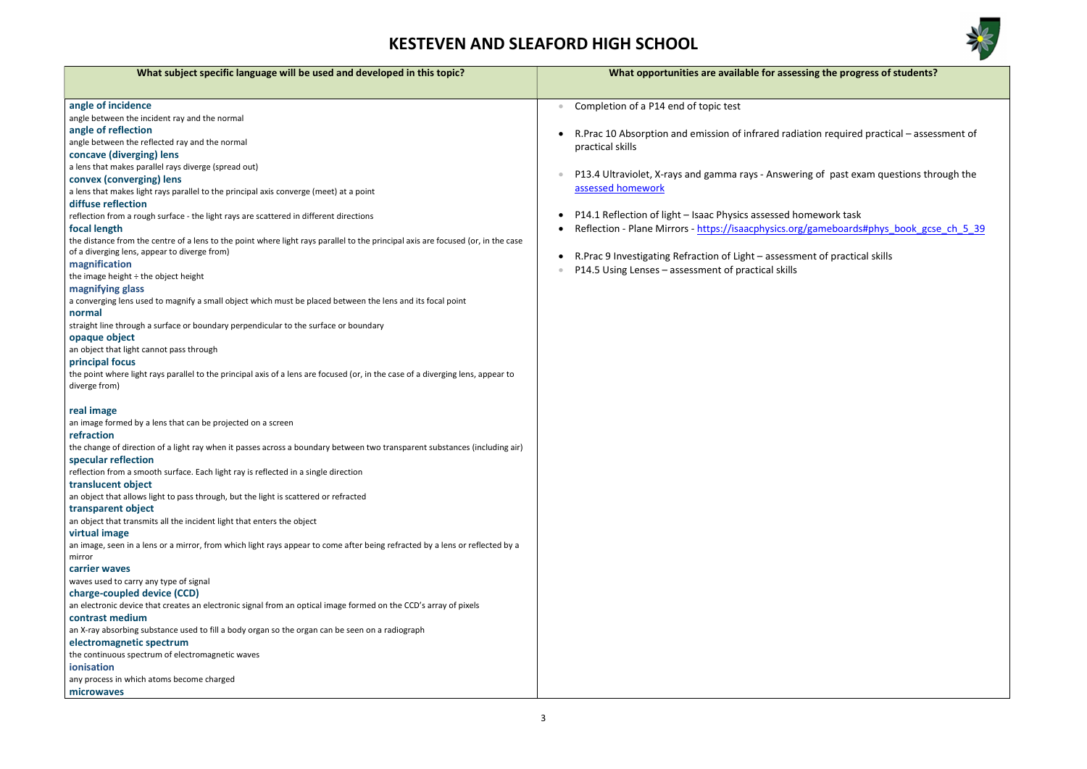

g the progress of students?

on required practical – assessment of

of past exam questions through the

ework task ameboards#phys\_book\_gcse\_ch\_5\_39

r. of practical skills

| What subject specific language will be used and developed in this topic?                                                               | What opportunities are available for assessing           |
|----------------------------------------------------------------------------------------------------------------------------------------|----------------------------------------------------------|
| angle of incidence                                                                                                                     | Completion of a P14 end of topic test<br>$\bullet$       |
| angle between the incident ray and the normal                                                                                          |                                                          |
| angle of reflection                                                                                                                    | R. Prac 10 Absorption and emission of infrared radiatio  |
| angle between the reflected ray and the normal                                                                                         | practical skills                                         |
| concave (diverging) lens                                                                                                               |                                                          |
| a lens that makes parallel rays diverge (spread out)                                                                                   |                                                          |
| convex (converging) lens                                                                                                               | P13.4 Ultraviolet, X-rays and gamma rays - Answering     |
| a lens that makes light rays parallel to the principal axis converge (meet) at a point                                                 | assessed homework                                        |
| diffuse reflection                                                                                                                     |                                                          |
| reflection from a rough surface - the light rays are scattered in different directions                                                 | P14.1 Reflection of light - Isaac Physics assessed home  |
| focal length                                                                                                                           | Reflection - Plane Mirrors - https://isaacphysics.org/ga |
| the distance from the centre of a lens to the point where light rays parallel to the principal axis are focused (or, in the case       |                                                          |
| of a diverging lens, appear to diverge from)                                                                                           |                                                          |
| magnification                                                                                                                          | R. Prac 9 Investigating Refraction of Light - assessment |
| the image height $\div$ the object height                                                                                              | P14.5 Using Lenses – assessment of practical skills      |
| magnifying glass                                                                                                                       |                                                          |
| a converging lens used to magnify a small object which must be placed between the lens and its focal point                             |                                                          |
| normal                                                                                                                                 |                                                          |
| straight line through a surface or boundary perpendicular to the surface or boundary                                                   |                                                          |
| opaque object                                                                                                                          |                                                          |
| an object that light cannot pass through                                                                                               |                                                          |
| principal focus                                                                                                                        |                                                          |
| the point where light rays parallel to the principal axis of a lens are focused (or, in the case of a diverging lens, appear to        |                                                          |
| diverge from)                                                                                                                          |                                                          |
| real image                                                                                                                             |                                                          |
| an image formed by a lens that can be projected on a screen                                                                            |                                                          |
| refraction                                                                                                                             |                                                          |
| the change of direction of a light ray when it passes across a boundary between two transparent substances (including air)             |                                                          |
| specular reflection                                                                                                                    |                                                          |
| reflection from a smooth surface. Each light ray is reflected in a single direction                                                    |                                                          |
| translucent object                                                                                                                     |                                                          |
| an object that allows light to pass through, but the light is scattered or refracted                                                   |                                                          |
| transparent object                                                                                                                     |                                                          |
| an object that transmits all the incident light that enters the object                                                                 |                                                          |
| virtual image                                                                                                                          |                                                          |
| an image, seen in a lens or a mirror, from which light rays appear to come after being refracted by a lens or reflected by a<br>mirror |                                                          |
| carrier waves                                                                                                                          |                                                          |
| waves used to carry any type of signal                                                                                                 |                                                          |
| charge-coupled device (CCD)                                                                                                            |                                                          |
| an electronic device that creates an electronic signal from an optical image formed on the CCD's array of pixels                       |                                                          |
| contrast medium                                                                                                                        |                                                          |
| an X-ray absorbing substance used to fill a body organ so the organ can be seen on a radiograph                                        |                                                          |
| electromagnetic spectrum                                                                                                               |                                                          |
| the continuous spectrum of electromagnetic waves                                                                                       |                                                          |
| ionisation                                                                                                                             |                                                          |
| any process in which atoms become charged                                                                                              |                                                          |
| microwaves                                                                                                                             |                                                          |
|                                                                                                                                        |                                                          |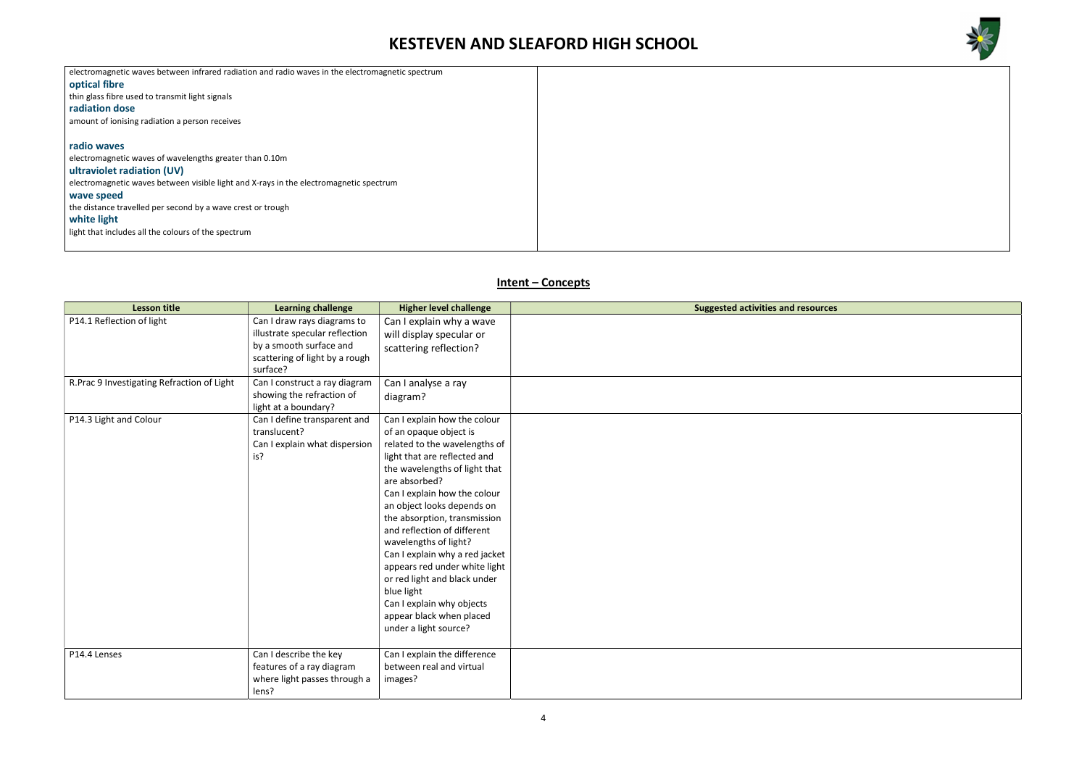



| electromagnetic waves between infrared radiation and radio waves in the electromagnetic spectrum |  |  |
|--------------------------------------------------------------------------------------------------|--|--|
| optical fibre                                                                                    |  |  |
| thin glass fibre used to transmit light signals                                                  |  |  |
| radiation dose                                                                                   |  |  |
| amount of ionising radiation a person receives                                                   |  |  |
|                                                                                                  |  |  |
| radio waves                                                                                      |  |  |
| electromagnetic waves of wavelengths greater than 0.10m                                          |  |  |
| ultraviolet radiation (UV)                                                                       |  |  |
| electromagnetic waves between visible light and X-rays in the electromagnetic spectrum           |  |  |
| wave speed                                                                                       |  |  |
| the distance travelled per second by a wave crest or trough                                      |  |  |
| white light                                                                                      |  |  |
| light that includes all the colours of the spectrum                                              |  |  |
|                                                                                                  |  |  |
|                                                                                                  |  |  |

### Intent – Concepts

| <b>Lesson title</b>                        | <b>Learning challenge</b>                                                                                                              | <b>Higher level challenge</b>                                                                                                                                                                                                                                                                                                                                                                                                                                                                                                      | <b>Suggested activities and resources</b> |
|--------------------------------------------|----------------------------------------------------------------------------------------------------------------------------------------|------------------------------------------------------------------------------------------------------------------------------------------------------------------------------------------------------------------------------------------------------------------------------------------------------------------------------------------------------------------------------------------------------------------------------------------------------------------------------------------------------------------------------------|-------------------------------------------|
| P14.1 Reflection of light                  | Can I draw rays diagrams to<br>illustrate specular reflection<br>by a smooth surface and<br>scattering of light by a rough<br>surface? | Can I explain why a wave<br>will display specular or<br>scattering reflection?                                                                                                                                                                                                                                                                                                                                                                                                                                                     |                                           |
| R.Prac 9 Investigating Refraction of Light | Can I construct a ray diagram<br>showing the refraction of<br>light at a boundary?                                                     | Can I analyse a ray<br>diagram?                                                                                                                                                                                                                                                                                                                                                                                                                                                                                                    |                                           |
| P14.3 Light and Colour                     | Can I define transparent and<br>translucent?<br>Can I explain what dispersion<br>is?                                                   | Can I explain how the colour<br>of an opaque object is<br>related to the wavelengths of<br>light that are reflected and<br>the wavelengths of light that<br>are absorbed?<br>Can I explain how the colour<br>an object looks depends on<br>the absorption, transmission<br>and reflection of different<br>wavelengths of light?<br>Can I explain why a red jacket<br>appears red under white light<br>or red light and black under<br>blue light<br>Can I explain why objects<br>appear black when placed<br>under a light source? |                                           |
| P14.4 Lenses                               | Can I describe the key<br>features of a ray diagram<br>where light passes through a<br>lens?                                           | Can I explain the difference<br>between real and virtual<br>images?                                                                                                                                                                                                                                                                                                                                                                                                                                                                |                                           |